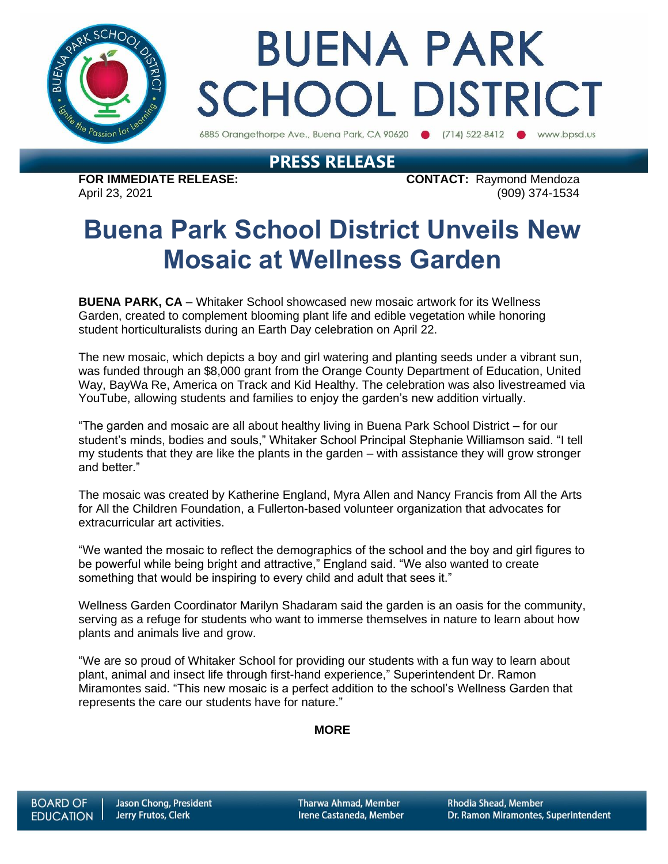

# **BUENA PARK SCHOOL DISTRICT**

6885 Orangethorpe Ave., Buena Park, CA 90620 (714) 522-8412 www.bpsd.us

### **PRESS RELEASE**

**FOR IMMEDIATE RELEASE: CONTACT:** Raymond Mendoza April 23, 2021 (909) 374-1534

## **Buena Park School District Unveils New Mosaic at Wellness Garden**

**BUENA PARK, CA** – Whitaker School showcased new mosaic artwork for its Wellness Garden, created to complement blooming plant life and edible vegetation while honoring student horticulturalists during an Earth Day celebration on April 22.

The new mosaic, which depicts a boy and girl watering and planting seeds under a vibrant sun, was funded through an \$8,000 grant from the Orange County Department of Education, United Way, BayWa Re, America on Track and Kid Healthy. The celebration was also livestreamed via YouTube, allowing students and families to enjoy the garden's new addition virtually.

"The garden and mosaic are all about healthy living in Buena Park School District – for our student's minds, bodies and souls," Whitaker School Principal Stephanie Williamson said. "I tell my students that they are like the plants in the garden – with assistance they will grow stronger and better."

The mosaic was created by Katherine England, Myra Allen and Nancy Francis from All the Arts for All the Children Foundation, a Fullerton-based volunteer organization that advocates for extracurricular art activities.

"We wanted the mosaic to reflect the demographics of the school and the boy and girl figures to be powerful while being bright and attractive," England said. "We also wanted to create something that would be inspiring to every child and adult that sees it."

Wellness Garden Coordinator Marilyn Shadaram said the garden is an oasis for the community, serving as a refuge for students who want to immerse themselves in nature to learn about how plants and animals live and grow.

"We are so proud of Whitaker School for providing our students with a fun way to learn about plant, animal and insect life through first-hand experience," Superintendent Dr. Ramon Miramontes said. "This new mosaic is a perfect addition to the school's Wellness Garden that represents the care our students have for nature."

#### **MORE**